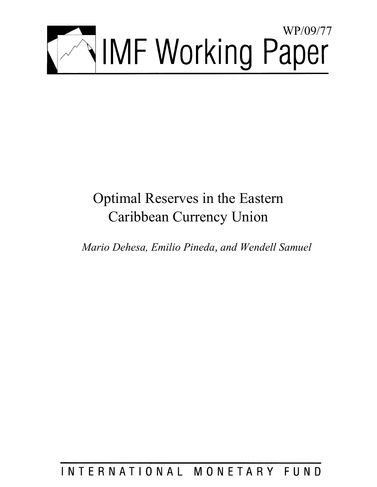

# Optimal Reserves in the Eastern Caribbean Currency Union

*Mario Dehesa, Emilio Pineda, and Wendell Samuel* 

## INTERNATIONAL MONETARY FUND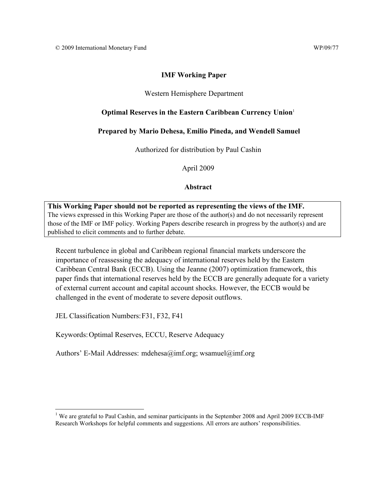## **IMF Working Paper**

## Western Hemisphere Department

## **Optimal Reserves in the Eastern Caribbean Currency Union**<sup>1</sup>

## **Prepared by Mario Dehesa, Emilio Pineda, and Wendell Samuel**

Authorized for distribution by Paul Cashin

April 2009

## **Abstract**

**This Working Paper should not be reported as representing the views of the IMF.** The views expressed in this Working Paper are those of the author(s) and do not necessarily represent those of the IMF or IMF policy. Working Papers describe research in progress by the author(s) and are published to elicit comments and to further debate.

Recent turbulence in global and Caribbean regional financial markets underscore the importance of reassessing the adequacy of international reserves held by the Eastern Caribbean Central Bank (ECCB). Using the Jeanne (2007) optimization framework, this paper finds that international reserves held by the ECCB are generally adequate for a variety of external current account and capital account shocks. However, the ECCB would be challenged in the event of moderate to severe deposit outflows.

JEL Classification Numbers: F31, F32, F41

<u>.</u>

Keywords: Optimal Reserves, ECCU, Reserve Adequacy

Authors' E-Mail Addresses: mdehesa@imf.org; wsamuel@imf.org

<sup>&</sup>lt;sup>1</sup> We are grateful to Paul Cashin, and seminar participants in the September 2008 and April 2009 ECCB-IMF Research Workshops for helpful comments and suggestions. All errors are authors' responsibilities.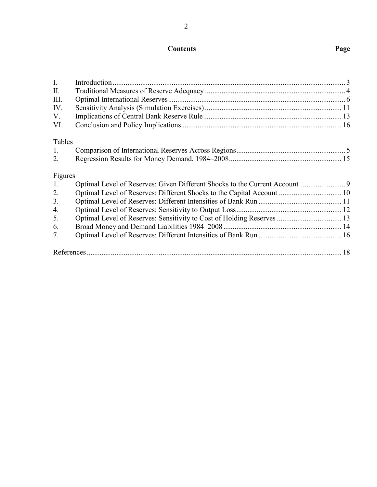## **Contents Page**

| I.      |  |
|---------|--|
| П.      |  |
| Ш.      |  |
| IV.     |  |
| V.      |  |
| VI.     |  |
| Tables  |  |
| 1.      |  |
| 2.      |  |
| Figures |  |
| 1.      |  |
| 2.      |  |
| 3.      |  |
| 4.      |  |
| 5.      |  |
| 6.      |  |
| 7.      |  |
|         |  |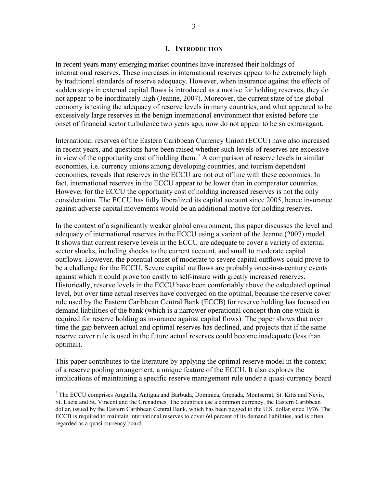#### **I. INTRODUCTION**

In recent years many emerging market countries have increased their holdings of international reserves. These increases in international reserves appear to be extremely high by traditional standards of reserve adequacy. However, when insurance against the effects of sudden stops in external capital flows is introduced as a motive for holding reserves, they do not appear to be inordinately high (Jeanne, 2007). Moreover, the current state of the global economy is testing the adequacy of reserve levels in many countries, and what appeared to be excessively large reserves in the benign international environment that existed before the onset of financial sector turbulence two years ago, now do not appear to be so extravagant.

International reserves of the Eastern Caribbean Currency Union (ECCU) have also increased in recent years, and questions have been raised whether such levels of reserves are excessive in view of the opportunity cost of holding them.<sup>2</sup> A comparison of reserve levels in similar economies, i.e. currency unions among developing countries, and tourism dependent economies, reveals that reserves in the ECCU are not out of line with these economies. In fact, international reserves in the ECCU appear to be lower than in comparator countries. However for the ECCU the opportunity cost of holding increased reserves is not the only consideration. The ECCU has fully liberalized its capital account since 2005, hence insurance against adverse capital movements would be an additional motive for holding reserves.

In the context of a significantly weaker global environment, this paper discusses the level and adequacy of international reserves in the ECCU using a variant of the Jeanne (2007) model. It shows that current reserve levels in the ECCU are adequate to cover a variety of external sector shocks, including shocks to the current account, and small to moderate capital outflows. However, the potential onset of moderate to severe capital outflows could prove to be a challenge for the ECCU. Severe capital outflows are probably once-in-a-century events against which it could prove too costly to self-insure with greatly increased reserves. Historically, reserve levels in the ECCU have been comfortably above the calculated optimal level, but over time actual reserves have converged on the optimal, because the reserve cover rule used by the Eastern Caribbean Central Bank (ECCB) for reserve holding has focused on demand liabilities of the bank (which is a narrower operational concept than one which is required for reserve holding as insurance against capital flows). The paper shows that over time the gap between actual and optimal reserves has declined, and projects that if the same reserve cover rule is used in the future actual reserves could become inadequate (less than optimal).

This paper contributes to the literature by applying the optimal reserve model in the context of a reserve pooling arrangement, a unique feature of the ECCU. It also explores the implications of maintaining a specific reserve management rule under a quasi-currency board

 $\overline{a}$ 

<sup>&</sup>lt;sup>2</sup> The ECCU comprises Anguilla, Antigua and Barbuda, Dominica, Grenada, Montserrat, St. Kitts and Nevis, St. Lucia and St. Vincent and the Grenadines. The countries use a common currency, the Eastern Caribbean dollar, issued by the Eastern Caribbean Central Bank, which has been pegged to the U.S. dollar since 1976. The ECCB is required to maintain international reserves to cover 60 percent of its demand liabilities, and is often regarded as a quasi-currency board.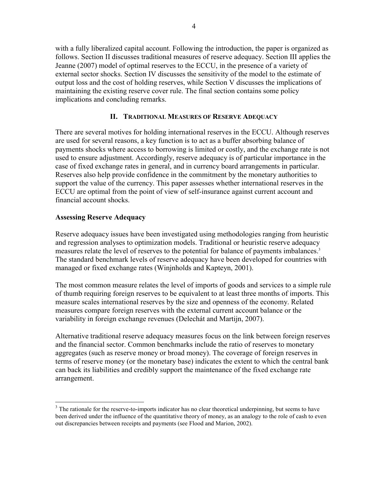with a fully liberalized capital account. Following the introduction, the paper is organized as follows. Section II discusses traditional measures of reserve adequacy. Section III applies the Jeanne (2007) model of optimal reserves to the ECCU, in the presence of a variety of external sector shocks. Section IV discusses the sensitivity of the model to the estimate of output loss and the cost of holding reserves, while Section V discusses the implications of maintaining the existing reserve cover rule. The final section contains some policy implications and concluding remarks.

## **II. TRADITIONAL MEASURES OF RESERVE ADEQUACY**

There are several motives for holding international reserves in the ECCU. Although reserves are used for several reasons, a key function is to act as a buffer absorbing balance of payments shocks where access to borrowing is limited or costly, and the exchange rate is not used to ensure adjustment. Accordingly, reserve adequacy is of particular importance in the case of fixed exchange rates in general, and in currency board arrangements in particular. Reserves also help provide confidence in the commitment by the monetary authorities to support the value of the currency. This paper assesses whether international reserves in the ECCU are optimal from the point of view of self-insurance against current account and financial account shocks.

## **Assessing Reserve Adequacy**

1

Reserve adequacy issues have been investigated using methodologies ranging from heuristic and regression analyses to optimization models. Traditional or heuristic reserve adequacy measures relate the level of reserves to the potential for balance of payments imbalances.<sup>3</sup> The standard benchmark levels of reserve adequacy have been developed for countries with managed or fixed exchange rates (Winjnholds and Kapteyn, 2001).

The most common measure relates the level of imports of goods and services to a simple rule of thumb requiring foreign reserves to be equivalent to at least three months of imports. This measure scales international reserves by the size and openness of the economy. Related measures compare foreign reserves with the external current account balance or the variability in foreign exchange revenues (Delechát and Martijn, 2007).

Alternative traditional reserve adequacy measures focus on the link between foreign reserves and the financial sector. Common benchmarks include the ratio of reserves to monetary aggregates (such as reserve money or broad money). The coverage of foreign reserves in terms of reserve money (or the monetary base) indicates the extent to which the central bank can back its liabilities and credibly support the maintenance of the fixed exchange rate arrangement.

 $3$  The rationale for the reserve-to-imports indicator has no clear theoretical underpinning, but seems to have been derived under the influence of the quantitative theory of money, as an analogy to the role of cash to even out discrepancies between receipts and payments (see Flood and Marion, 2002).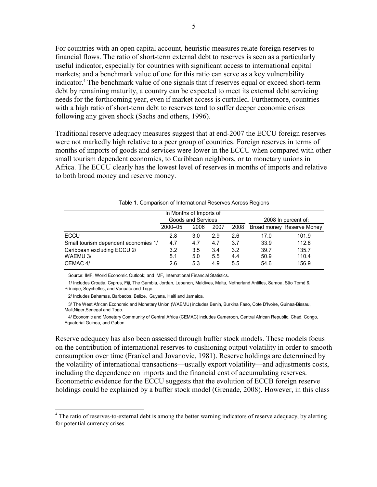For countries with an open capital account, heuristic measures relate foreign reserves to financial flows. The ratio of short-term external debt to reserves is seen as a particularly useful indicator, especially for countries with significant access to international capital markets; and a benchmark value of one for this ratio can serve as a key vulnerability indicator.4 The benchmark value of one signals that if reserves equal or exceed short-term debt by remaining maturity, a country can be expected to meet its external debt servicing needs for the forthcoming year, even if market access is curtailed. Furthermore, countries with a high ratio of short-term debt to reserves tend to suffer deeper economic crises following any given shock (Sachs and others, 1996).

Traditional reserve adequacy measures suggest that at end-2007 the ECCU foreign reserves were not markedly high relative to a peer group of countries. Foreign reserves in terms of months of imports of goods and services were lower in the ECCU when compared with other small tourism dependent economies, to Caribbean neighbors, or to monetary unions in Africa. The ECCU clearly has the lowest level of reserves in months of imports and relative to both broad money and reserve money.

| <u>, abio T. Obttipanoon of international recorrect reflection requeste</u> |                    |      |      |      |                     |                           |  |  |  |
|-----------------------------------------------------------------------------|--------------------|------|------|------|---------------------|---------------------------|--|--|--|
| In Months of Imports of                                                     |                    |      |      |      |                     |                           |  |  |  |
|                                                                             | Goods and Services |      |      |      | 2008 In percent of: |                           |  |  |  |
|                                                                             | 2000-05            | 2006 | 2007 | 2008 |                     | Broad money Reserve Money |  |  |  |
| <b>ECCU</b>                                                                 | 2.8                | 3.0  | 2.9  | 2.6  | 17.0                | 101.9                     |  |  |  |
| Small tourism dependent economies 1/                                        | 4.7                | 4.7  | 4.7  | 3.7  | 33.9                | 112.8                     |  |  |  |
| Caribbean excluding ECCU 2/                                                 | 3.2                | 3.5  | 3.4  | 3.2  | 39.7                | 135.7                     |  |  |  |
| WAEMU 3/                                                                    | 5.1                | 5.0  | 5.5  | 4.4  | 50.9                | 110.4                     |  |  |  |
| CEMAC 4/                                                                    | 2.6                | 5.3  | 4.9  | 5.5  | 54.6                | 156.9                     |  |  |  |

#### Table 1. Comparison of International Reserves Across Regions

Source: IMF, World Economic Outlook; and IMF, International Financial Statistics.

 1/ Includes Croatia, Cyprus, Fiji, The Gambia, Jordan, Lebanon, Maldives, Malta, Netherland Antilles, Samoa, São Tomé & Príncipe, Seychelles, and Vanuatu and Togo.

2/ Includes Bahamas, Barbados, Belize, Guyana, Haiti and Jamaica.

<u>.</u>

 3/ The West African Economic and Monetary Union (WAEMU) includes Benin, Burkina Faso, Cote D'Ivoire, Guinea-Bissau, Mali,Niger,Senegal and Togo.

 4/ Economic and Monetary Community of Central Africa (CEMAC) includes Cameroon, Central African Republic, Chad, Congo, Equatorial Guinea, and Gabon.

Reserve adequacy has also been assessed through buffer stock models. These models focus on the contribution of international reserves to cushioning output volatility in order to smooth consumption over time (Frankel and Jovanovic, 1981). Reserve holdings are determined by the volatility of international transactions—usually export volatility—and adjustments costs, including the dependence on imports and the financial cost of accumulating reserves. Econometric evidence for the ECCU suggests that the evolution of ECCB foreign reserve holdings could be explained by a buffer stock model (Grenade, 2008). However, in this class

 $4$  The ratio of reserves-to-external debt is among the better warning indicators of reserve adequacy, by alerting for potential currency crises.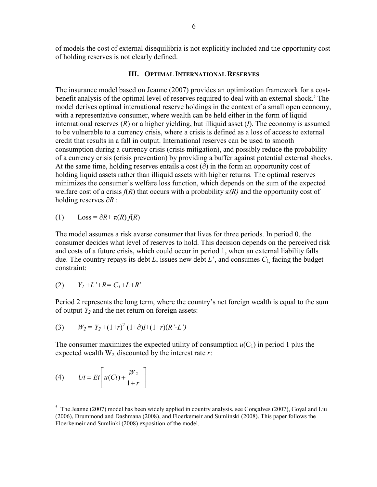of models the cost of external disequilibria is not explicitly included and the opportunity cost of holding reserves is not clearly defined.

#### **III. OPTIMAL INTERNATIONAL RESERVES**

The insurance model based on Jeanne (2007) provides an optimization framework for a costbenefit analysis of the optimal level of reserves required to deal with an external shock.<sup>5</sup> The model derives optimal international reserve holdings in the context of a small open economy, with a representative consumer, where wealth can be held either in the form of liquid international reserves (*R*) or a higher yielding, but illiquid asset (*I*). The economy is assumed to be vulnerable to a currency crisis, where a crisis is defined as a loss of access to external credit that results in a fall in output. International reserves can be used to smooth consumption during a currency crisis (crisis mitigation), and possibly reduce the probability of a currency crisis (crisis prevention) by providing a buffer against potential external shocks. At the same time, holding reserves entails a cost  $(\partial)$  in the form an opportunity cost of holding liquid assets rather than illiquid assets with higher returns. The optimal reserves minimizes the consumer's welfare loss function, which depends on the sum of the expected welfare cost of a crisis  $f(R)$  that occurs with a probability  $\pi(R)$  and the opportunity cost of holding reserves ∂*R* :

(1)  $\text{Loss} = \partial R + \pi(R) f(R)$ 

The model assumes a risk averse consumer that lives for three periods. In period 0, the consumer decides what level of reserves to hold. This decision depends on the perceived risk and costs of a future crisis, which could occur in period 1, when an external liability falls due. The country repays its debt *L*, issues new debt *L*', and consumes *C*1, facing the budget constraint:

$$
(2) \qquad Y_I + L' + R = C_I + L + R'
$$

Period 2 represents the long term, where the country's net foreign wealth is equal to the sum of output  $Y_2$  and the net return on foreign assets:

(3) 
$$
W_2 = Y_2 + (1+r)^2 (1+\partial)I + (1+r)(R'-L')
$$

The consumer maximizes the expected utility of consumption  $u(C_1)$  in period 1 plus the expected wealth  $W_2$  discounted by the interest rate  $r$ :

$$
(4) \qquad Ui = Ei\left[u(Ci) + \frac{W_2}{1+r}\right]
$$

 $\overline{a}$ 

 $5$  The Jeanne (2007) model has been widely applied in country analysis, see Gonçalves (2007), Goyal and Liu (2006), Drummond and Dashmana (2008), and Floerkemeir and Sumlinski (2008). This paper follows the Floerkemeir and Sumlinki (2008) exposition of the model.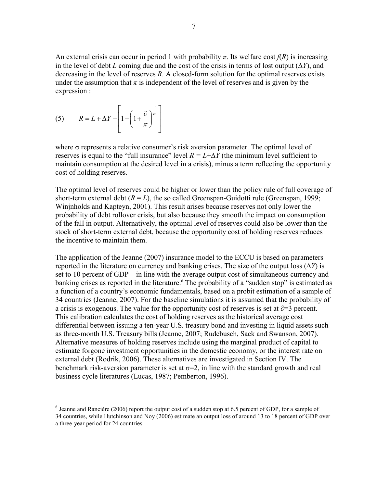An external crisis can occur in period 1 with probability  $\pi$ . Its welfare cost  $f(R)$  is increasing in the level of debt *L* coming due and the cost of the crisis in terms of lost output  $(\Delta Y)$ , and decreasing in the level of reserves *R*. A closed-form solution for the optimal reserves exists under the assumption that  $\pi$  is independent of the level of reserves and is given by the expression :

(5) 
$$
R = L + \Delta Y - \left[1 - \left(1 + \frac{\partial}{\pi}\right)^{-\frac{1}{\sigma}}\right]
$$

1

where  $\sigma$  represents a relative consumer's risk aversion parameter. The optimal level of reserves is equal to the "full insurance" level  $R = L + \Delta Y$  (the minimum level sufficient to maintain consumption at the desired level in a crisis), minus a term reflecting the opportunity cost of holding reserves.

The optimal level of reserves could be higher or lower than the policy rule of full coverage of short-term external debt  $(R = L)$ , the so called Greenspan-Guidotti rule (Greenspan, 1999; Winjnholds and Kapteyn, 2001). This result arises because reserves not only lower the probability of debt rollover crisis, but also because they smooth the impact on consumption of the fall in output. Alternatively, the optimal level of reserves could also be lower than the stock of short-term external debt, because the opportunity cost of holding reserves reduces the incentive to maintain them.

The application of the Jeanne (2007) insurance model to the ECCU is based on parameters reported in the literature on currency and banking crises. The size of the output loss (∆*Y*) is set to 10 percent of GDP—in line with the average output cost of simultaneous currency and banking crises as reported in the literature.<sup>6</sup> The probability of a "sudden stop" is estimated as a function of a country's economic fundamentals, based on a probit estimation of a sample of 34 countries (Jeanne, 2007). For the baseline simulations it is assumed that the probability of a crisis is exogenous. The value for the opportunity cost of reserves is set at  $\partial=3$  percent. This calibration calculates the cost of holding reserves as the historical average cost differential between issuing a ten-year U.S. treasury bond and investing in liquid assets such as three-month U.S. Treasury bills (Jeanne, 2007; Rudebusch, Sack and Swanson, 2007). Alternative measures of holding reserves include using the marginal product of capital to estimate forgone investment opportunities in the domestic economy, or the interest rate on external debt (Rodrik, 2006). These alternatives are investigated in Section IV. The benchmark risk-aversion parameter is set at  $\sigma = 2$ , in line with the standard growth and real business cycle literatures (Lucas, 1987; Pemberton, 1996).

<sup>&</sup>lt;sup>6</sup> Jeanne and Rancière (2006) report the output cost of a sudden stop at 6.5 percent of GDP, for a sample of 34 countries, while Hutchinson and Noy (2006) estimate an output loss of around 13 to 18 percent of GDP over a three-year period for 24 countries.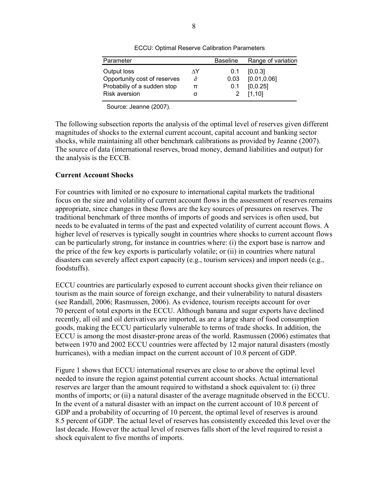| Parameter                    |    | <b>Baseline</b> | Range of variation |
|------------------------------|----|-----------------|--------------------|
| Output loss                  | ٨Y | 0.1             | [0, 0.3]           |
| Opportunity cost of reserves | д  | 0.03            | [0.01, 0.06]       |
| Probabiliy of a sudden stop  | π  | 0.1             | [0, 0.25]          |
| <b>Risk aversion</b>         |    |                 | [1, 10]            |

ECCU: Optimal Reserve Calibration Parameters

Source: Jeanne (2007).

The following subsection reports the analysis of the optimal level of reserves given different magnitudes of shocks to the external current account, capital account and banking sector shocks, while maintaining all other benchmark calibrations as provided by Jeanne (2007). The source of data (international reserves, broad money, demand liabilities and output) for the analysis is the ECCB.

#### **Current Account Shocks**

For countries with limited or no exposure to international capital markets the traditional focus on the size and volatility of current account flows in the assessment of reserves remains appropriate, since changes in these flows are the key sources of pressures on reserves. The traditional benchmark of three months of imports of goods and services is often used, but needs to be evaluated in terms of the past and expected volatility of current account flows. A higher level of reserves is typically sought in countries where shocks to current account flows can be particularly strong, for instance in countries where: (i) the export base is narrow and the price of the few key exports is particularly volatile; or (ii) in countries where natural disasters can severely affect export capacity (e.g., tourism services) and import needs (e.g., foodstuffs).

ECCU countries are particularly exposed to current account shocks given their reliance on tourism as the main source of foreign exchange, and their vulnerability to natural disasters (see Randall, 2006; Rasmussen, 2006). As evidence, tourism receipts account for over 70 percent of total exports in the ECCU. Although banana and sugar exports have declined recently, all oil and oil derivatives are imported, as are a large share of food consumption goods, making the ECCU particularly vulnerable to terms of trade shocks. In addition, the ECCU is among the most disaster-prone areas of the world. Rasmussen (2006) estimates that between 1970 and 2002 ECCU countries were affected by 12 major natural disasters (mostly hurricanes), with a median impact on the current account of 10.8 percent of GDP.

Figure 1 shows that ECCU international reserves are close to or above the optimal level needed to insure the region against potential current account shocks. Actual international reserves are larger than the amount required to withstand a shock equivalent to: (i) three months of imports; or (ii) a natural disaster of the average magnitude observed in the ECCU. In the event of a natural disaster with an impact on the current account of 10.8 percent of GDP and a probability of occurring of 10 percent, the optimal level of reserves is around 8.5 percent of GDP. The actual level of reserves has consistently exceeded this level over the last decade. However the actual level of reserves falls short of the level required to resist a shock equivalent to five months of imports.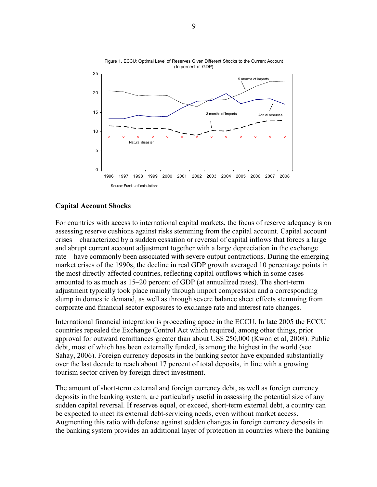

Figure 1. ECCU: Optimal Level of Reserves Given Different Shocks to the Current Account (In percent of GDP)

### **Capital Account Shocks**

For countries with access to international capital markets, the focus of reserve adequacy is on assessing reserve cushions against risks stemming from the capital account. Capital account crises—characterized by a sudden cessation or reversal of capital inflows that forces a large and abrupt current account adjustment together with a large depreciation in the exchange rate—have commonly been associated with severe output contractions. During the emerging market crises of the 1990s, the decline in real GDP growth averaged 10 percentage points in the most directly-affected countries, reflecting capital outflows which in some cases amounted to as much as 15–20 percent of GDP (at annualized rates). The short-term adjustment typically took place mainly through import compression and a corresponding slump in domestic demand, as well as through severe balance sheet effects stemming from corporate and financial sector exposures to exchange rate and interest rate changes.

International financial integration is proceeding apace in the ECCU. In late 2005 the ECCU countries repealed the Exchange Control Act which required, among other things, prior approval for outward remittances greater than about US\$ 250,000 (Kwon et al, 2008). Public debt, most of which has been externally funded, is among the highest in the world (see Sahay, 2006). Foreign currency deposits in the banking sector have expanded substantially over the last decade to reach about 17 percent of total deposits, in line with a growing tourism sector driven by foreign direct investment.

The amount of short-term external and foreign currency debt, as well as foreign currency deposits in the banking system, are particularly useful in assessing the potential size of any sudden capital reversal. If reserves equal, or exceed, short-term external debt, a country can be expected to meet its external debt-servicing needs, even without market access. Augmenting this ratio with defense against sudden changes in foreign currency deposits in the banking system provides an additional layer of protection in countries where the banking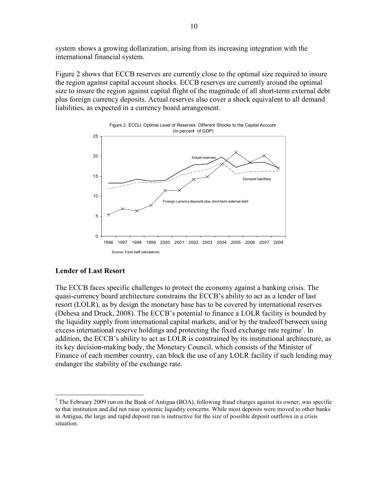system shows a growing dollarization, arising from its increasing integration with the international financial system.

Figure 2 shows that ECCB reserves are currently close to the optimal size required to insure the region against capital account shocks. ECCB reserves are currently around the optimal size to insure the region against capital flight of the magnitude of all short-term external debt plus foreign currency deposits. Actual reserves also cover a shock equivalent to all demand liabilities, as expected in a currency board arrangement.



#### **Lender of Last Resort**

 $\overline{a}$ 

The ECCB faces specific challenges to protect the economy against a banking crisis. The quasi-currency board architecture constrains the ECCB's ability to act as a lender of last resort (LOLR), as by design the monetary base has to be covered by international reserves (Dehesa and Druck, 2008). The ECCB's potential to finance a LOLR facility is bounded by the liquidity supply from international capital markets, and/or by the tradeoff between using excess international reserve holdings and protecting the fixed exchange rate regime<sup>7</sup>. In addition, the ECCB's ability to act as LOLR is constrained by its institutional architecture, as its key decision-making body, the Monetary Council, which consists of the Minister of Finance of each member country, can block the use of any LOLR facility if such lending may endanger the stability of the exchange rate.

<sup>&</sup>lt;sup>7</sup> The February 2009 run on the Bank of Antigua (BOA), following fraud charges against its owner, was specific to that institution and did not raise systemic liquidity concerns. While most deposits were moved to other banks in Antigua, the large and rapid deposit run is instructive for the size of possible deposit outflows in a crisis situation.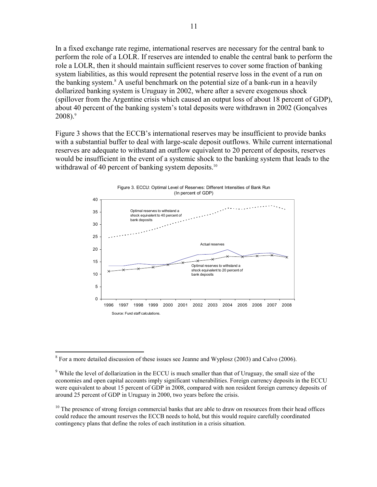In a fixed exchange rate regime, international reserves are necessary for the central bank to perform the role of a LOLR. If reserves are intended to enable the central bank to perform the role a LOLR, then it should maintain sufficient reserves to cover some fraction of banking system liabilities, as this would represent the potential reserve loss in the event of a run on the banking system.<sup>8</sup> A useful benchmark on the potential size of a bank-run in a heavily dollarized banking system is Uruguay in 2002, where after a severe exogenous shock (spillover from the Argentine crisis which caused an output loss of about 18 percent of GDP), about 40 percent of the banking system's total deposits were withdrawn in 2002 (Gonçalves  $2008$ ). $9$ 

Figure 3 shows that the ECCB's international reserves may be insufficient to provide banks with a substantial buffer to deal with large-scale deposit outflows. While current international reserves are adequate to withstand an outflow equivalent to 20 percent of deposits, reserves would be insufficient in the event of a systemic shock to the banking system that leads to the withdrawal of 40 percent of banking system deposits.<sup>10</sup>



Figure 3. ECCU: Optimal Level of Reserves: Different Intensities of Bank Run

 $\overline{a}$  $8 \text{ For a more detailed discussion of these issues see Jeanne and Wyplosz (2003) and Calvo (2006).}$ 

<sup>&</sup>lt;sup>9</sup> While the level of dollarization in the ECCU is much smaller than that of Uruguay, the small size of the economies and open capital accounts imply significant vulnerabilities. Foreign currency deposits in the ECCU were equivalent to about 15 percent of GDP in 2008, compared with non resident foreign currency deposits of around 25 percent of GDP in Uruguay in 2000, two years before the crisis.

<sup>&</sup>lt;sup>10</sup> The presence of strong foreign commercial banks that are able to draw on resources from their head offices could reduce the amount reserves the ECCB needs to hold, but this would require carefully coordinated contingency plans that define the roles of each institution in a crisis situation.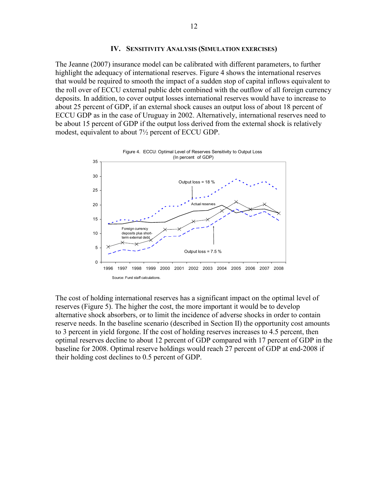#### **IV. SENSITIVITY ANALYSIS (SIMULATION EXERCISES)**

The Jeanne (2007) insurance model can be calibrated with different parameters, to further highlight the adequacy of international reserves. Figure 4 shows the international reserves that would be required to smooth the impact of a sudden stop of capital inflows equivalent to the roll over of ECCU external public debt combined with the outflow of all foreign currency deposits. In addition, to cover output losses international reserves would have to increase to about 25 percent of GDP, if an external shock causes an output loss of about 18 percent of ECCU GDP as in the case of Uruguay in 2002. Alternatively, international reserves need to be about 15 percent of GDP if the output loss derived from the external shock is relatively modest, equivalent to about 7½ percent of ECCU GDP.



The cost of holding international reserves has a significant impact on the optimal level of reserves (Figure 5). The higher the cost, the more important it would be to develop alternative shock absorbers, or to limit the incidence of adverse shocks in order to contain reserve needs. In the baseline scenario (described in Section II) the opportunity cost amounts to 3 percent in yield forgone. If the cost of holding reserves increases to 4.5 percent, then optimal reserves decline to about 12 percent of GDP compared with 17 percent of GDP in the baseline for 2008. Optimal reserve holdings would reach 27 percent of GDP at end-2008 if their holding cost declines to 0.5 percent of GDP.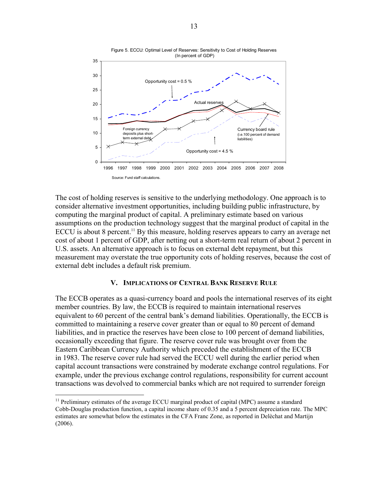

The cost of holding reserves is sensitive to the underlying methodology. One approach is to consider alternative investment opportunities, including building public infrastructure, by computing the marginal product of capital. A preliminary estimate based on various assumptions on the production technology suggest that the marginal product of capital in the ECCU is about 8 percent.<sup>11</sup> By this measure, holding reserves appears to carry an average net cost of about 1 percent of GDP, after netting out a short-term real return of about 2 percent in U.S. assets. An alternative approach is to focus on external debt repayment, but this measurement may overstate the true opportunity cots of holding reserves, because the cost of external debt includes a default risk premium.

#### **V. IMPLICATIONS OF CENTRAL BANK RESERVE RULE**

The ECCB operates as a quasi-currency board and pools the international reserves of its eight member countries. By law, the ECCB is required to maintain international reserves equivalent to 60 percent of the central bank's demand liabilities. Operationally, the ECCB is committed to maintaining a reserve cover greater than or equal to 80 percent of demand liabilities, and in practice the reserves have been close to 100 percent of demand liabilities, occasionally exceeding that figure. The reserve cover rule was brought over from the Eastern Caribbean Currency Authority which preceded the establishment of the ECCB in 1983. The reserve cover rule had served the ECCU well during the earlier period when capital account transactions were constrained by moderate exchange control regulations. For example, under the previous exchange control regulations, responsibility for current account transactions was devolved to commercial banks which are not required to surrender foreign

1

 $11$  Preliminary estimates of the average ECCU marginal product of capital (MPC) assume a standard Cobb-Douglas production function, a capital income share of 0.35 and a 5 percent depreciation rate. The MPC estimates are somewhat below the estimates in the CFA Franc Zone, as reported in Delèchat and Martijn (2006).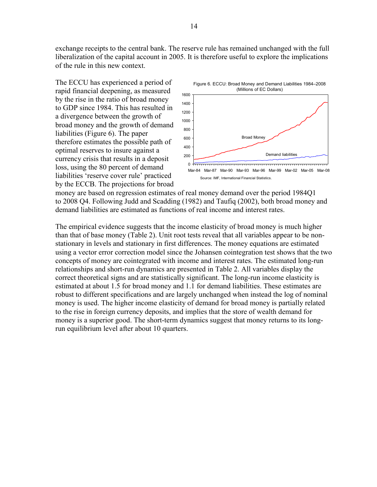exchange receipts to the central bank. The reserve rule has remained unchanged with the full liberalization of the capital account in 2005. It is therefore useful to explore the implications of the rule in this new context.

The ECCU has experienced a period of rapid financial deepening, as measured by the rise in the ratio of broad money to GDP since 1984. This has resulted in a divergence between the growth of broad money and the growth of demand liabilities (Figure 6). The paper therefore estimates the possible path of optimal reserves to insure against a currency crisis that results in a deposit loss, using the 80 percent of demand liabilities 'reserve cover rule' practiced by the ECCB. The projections for broad



money are based on regression estimates of real money demand over the period 1984Q1 to 2008 Q4. Following Judd and Scadding (1982) and Taufiq (2002), both broad money and demand liabilities are estimated as functions of real income and interest rates.

The empirical evidence suggests that the income elasticity of broad money is much higher than that of base money (Table 2). Unit root tests reveal that all variables appear to be nonstationary in levels and stationary in first differences. The money equations are estimated using a vector error correction model since the Johansen cointegration test shows that the two concepts of money are cointegrated with income and interest rates. The estimated long-run relationships and short-run dynamics are presented in Table 2. All variables display the correct theoretical signs and are statistically significant. The long-run income elasticity is estimated at about 1.5 for broad money and 1.1 for demand liabilities. These estimates are robust to different specifications and are largely unchanged when instead the log of nominal money is used. The higher income elasticity of demand for broad money is partially related to the rise in foreign currency deposits, and implies that the store of wealth demand for money is a superior good. The short-term dynamics suggest that money returns to its longrun equilibrium level after about 10 quarters.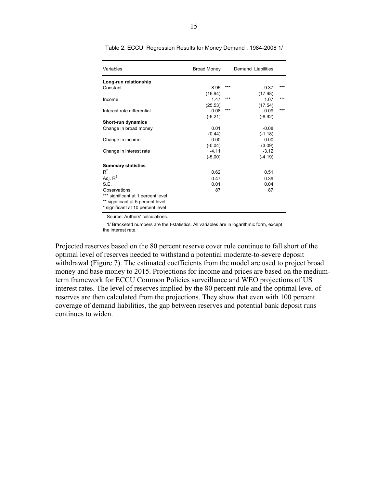| Variables                          | <b>Broad Money</b> |     | Demand Liabilities |       |
|------------------------------------|--------------------|-----|--------------------|-------|
| Long-run relationship              |                    |     |                    |       |
| Constant                           | 8.95               | *** | 9.37               | $***$ |
|                                    | (16.94)            |     | (17.98)            |       |
| Income                             | 1.47               | *** | 1.07               | ***   |
|                                    | (25.53)            |     | (17.54)            |       |
| Interest rate differential         | $-0.08$            | *** | $-0.09$            | ***   |
|                                    | $(-6.21)$          |     | $(-8.92)$          |       |
| Short-run dynamics                 |                    |     |                    |       |
| Change in broad money              | 0.01               |     | $-0.08$            |       |
|                                    | (0.44)             |     | $(-1.18)$          |       |
| Change in income                   | 0.00               |     | 0.00               |       |
|                                    | $(-0.04)$          |     | (3.09)             |       |
| Change in interest rate            | $-4.11$            |     | $-3.12$            |       |
|                                    | $(-5,00)$          |     | $(-4.19)$          |       |
| <b>Summary statistics</b>          |                    |     |                    |       |
| $R^2$                              | 0.62               |     | 0.51               |       |
| Adj. $R^2$                         | 0.47               |     | 0.39               |       |
| S.E.                               | 0.01               |     | 0.04               |       |
| Observations                       | 87                 |     | 87                 |       |
| *** significant at 1 percent level |                    |     |                    |       |
| ** significant at 5 percent level  |                    |     |                    |       |
| * significant at 10 percent level  |                    |     |                    |       |

Table 2. ECCU: Regression Results for Money Demand , 1984-2008 1/

Source: Authors' calculations.

 1/ Bracketed numbers are the t-statistics. All variables are in logarithmic form, except the interest rate.

Projected reserves based on the 80 percent reserve cover rule continue to fall short of the optimal level of reserves needed to withstand a potential moderate-to-severe deposit withdrawal (Figure 7). The estimated coefficients from the model are used to project broad money and base money to 2015. Projections for income and prices are based on the mediumterm framework for ECCU Common Policies surveillance and WEO projections of US interest rates. The level of reserves implied by the 80 percent rule and the optimal level of reserves are then calculated from the projections. They show that even with 100 percent coverage of demand liabilities, the gap between reserves and potential bank deposit runs continues to widen.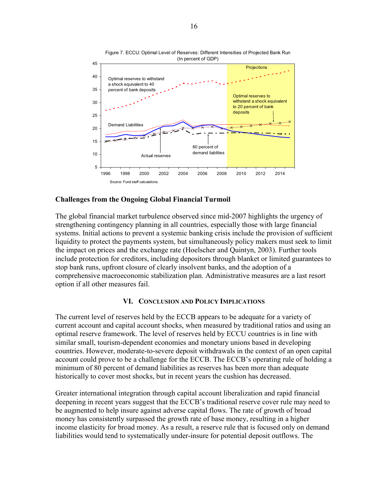

Figure 7. ECCU: Optimal Level of Reserves: Different Intensities of Projected Bank Run (In percent of GDP)

#### **Challenges from the Ongoing Global Financial Turmoil**

The global financial market turbulence observed since mid-2007 highlights the urgency of strengthening contingency planning in all countries, especially those with large financial systems. Initial actions to prevent a systemic banking crisis include the provision of sufficient liquidity to protect the payments system, but simultaneously policy makers must seek to limit the impact on prices and the exchange rate (Hoelscher and Quintyn, 2003). Further tools include protection for creditors, including depositors through blanket or limited guarantees to stop bank runs, upfront closure of clearly insolvent banks, and the adoption of a comprehensive macroeconomic stabilization plan. Administrative measures are a last resort option if all other measures fail.

### **VI. CONCLUSION AND POLICY IMPLICATIONS**

The current level of reserves held by the ECCB appears to be adequate for a variety of current account and capital account shocks, when measured by traditional ratios and using an optimal reserve framework. The level of reserves held by ECCU countries is in line with similar small, tourism-dependent economies and monetary unions based in developing countries. However, moderate-to-severe deposit withdrawals in the context of an open capital account could prove to be a challenge for the ECCB. The ECCB's operating rule of holding a minimum of 80 percent of demand liabilities as reserves has been more than adequate historically to cover most shocks, but in recent years the cushion has decreased.

Greater international integration through capital account liberalization and rapid financial deepening in recent years suggest that the ECCB's traditional reserve cover rule may need to be augmented to help insure against adverse capital flows. The rate of growth of broad money has consistently surpassed the growth rate of base money, resulting in a higher income elasticity for broad money. As a result, a reserve rule that is focused only on demand liabilities would tend to systematically under-insure for potential deposit outflows. The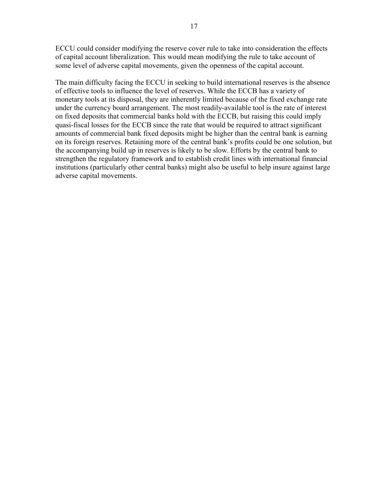ECCU could consider modifying the reserve cover rule to take into consideration the effects of capital account liberalization. This would mean modifying the rule to take account of some level of adverse capital movements, given the openness of the capital account.

The main difficulty facing the ECCU in seeking to build international reserves is the absence of effective tools to influence the level of reserves. While the ECCB has a variety of monetary tools at its disposal, they are inherently limited because of the fixed exchange rate under the currency board arrangement. The most readily-available tool is the rate of interest on fixed deposits that commercial banks hold with the ECCB, but raising this could imply quasi-fiscal losses for the ECCB since the rate that would be required to attract significant amounts of commercial bank fixed deposits might be higher than the central bank is earning on its foreign reserves. Retaining more of the central bank's profits could be one solution, but the accompanying build up in reserves is likely to be slow. Efforts by the central bank to strengthen the regulatory framework and to establish credit lines with international financial institutions (particularly other central banks) might also be useful to help insure against large adverse capital movements.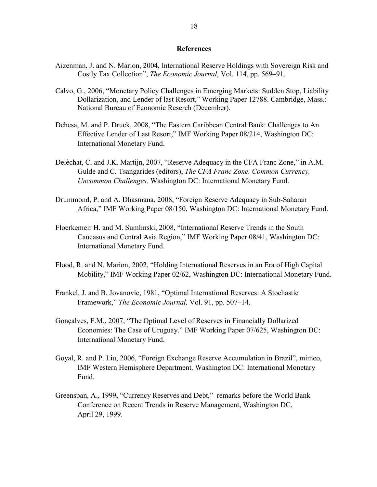#### **References**

- Aizenman, J. and N. Marion, 2004, International Reserve Holdings with Sovereign Risk and Costly Tax Collection", *The Economic Journal*, Vol. 114, pp. 569–91.
- Calvo, G., 2006, "Monetary Policy Challenges in Emerging Markets: Sudden Stop, Liability Dollarization, and Lender of last Resort," Working Paper 12788. Cambridge, Mass.: National Bureau of Economic Reserch (December).
- Dehesa, M. and P. Druck, 2008, "The Eastern Caribbean Central Bank: Challenges to An Effective Lender of Last Resort," IMF Working Paper 08/214, Washington DC: International Monetary Fund.
- Delèchat, C. and J.K. Martijn, 2007, "Reserve Adequacy in the CFA Franc Zone," in A.M. Gulde and C. Tsangarides (editors), *The CFA Franc Zone. Common Currency, Uncommon Challenges,* Washington DC: International Monetary Fund.
- Drummond, P. and A. Dhasmana, 2008, "Foreign Reserve Adequacy in Sub-Saharan Africa," IMF Working Paper 08/150, Washington DC: International Monetary Fund.
- Floerkemeir H. and M. Sumlinski, 2008, "International Reserve Trends in the South Caucasus and Central Asia Region," IMF Working Paper 08/41, Washington DC: International Monetary Fund.
- Flood, R. and N. Marion, 2002, "Holding International Reserves in an Era of High Capital Mobility," IMF Working Paper 02/62, Washington DC: International Monetary Fund.
- Frankel, J. and B. Jovanovic, 1981, "Optimal International Reserves: A Stochastic Framework," *The Economic Journal,* Vol. 91, pp. 507–14.
- Gonçalves, F.M., 2007, "The Optimal Level of Reserves in Financially Dollarized Economies: The Case of Uruguay." IMF Working Paper 07/625, Washington DC: International Monetary Fund.
- Goyal, R. and P. Liu, 2006, "Foreign Exchange Reserve Accumulation in Brazil", mimeo, IMF Western Hemisphere Department. Washington DC: International Monetary Fund.
- Greenspan, A., 1999, "Currency Reserves and Debt," remarks before the World Bank Conference on Recent Trends in Reserve Management, Washington DC, April 29, 1999.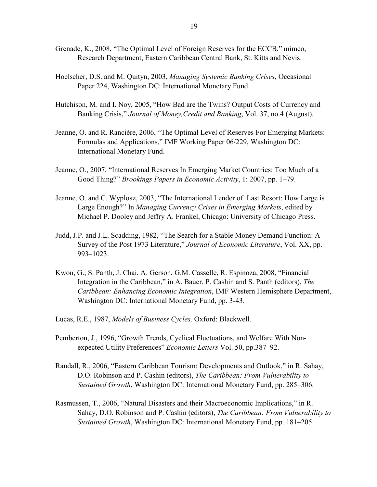- Grenade, K., 2008, "The Optimal Level of Foreign Reserves for the ECCB," mimeo, Research Department, Eastern Caribbean Central Bank, St. Kitts and Nevis.
- Hoelscher, D.S. and M. Quityn, 2003, *Managing Systemic Banking Crises*, Occasional Paper 224, Washington DC: International Monetary Fund.
- Hutchison, M. and I. Noy, 2005, "How Bad are the Twins? Output Costs of Currency and Banking Crisis," *Journal of Money,Credit and Banking*, Vol. 37, no.4 (August).
- Jeanne, O. and R. Rancière, 2006, "The Optimal Level of Reserves For Emerging Markets: Formulas and Applications," IMF Working Paper 06/229, Washington DC: International Monetary Fund.
- Jeanne, O., 2007, "International Reserves In Emerging Market Countries: Too Much of a Good Thing?" *Brookings Papers in Economic Activity*, 1: 2007, pp. 1–79.
- Jeanne, O. and C. Wyplosz, 2003, "The International Lender of Last Resort: How Large is Large Enough?" In *Managing Currency Crises in Emerging Markets*, edited by Michael P. Dooley and Jeffry A. Frankel, Chicago: University of Chicago Press.
- Judd, J.P. and J.L. Scadding, 1982, "The Search for a Stable Money Demand Function: A Survey of the Post 1973 Literature," *Journal of Economic Literature*, Vol. XX, pp. 993–1023.
- Kwon, G., S. Panth, J. Chai, A. Gerson, G.M. Casselle, R. Espinoza, 2008, "Financial Integration in the Caribbean," in A. Bauer, P. Cashin and S. Panth (editors), *The Caribbean: Enhancing Economic Integration*, IMF Western Hemisphere Department, Washington DC: International Monetary Fund, pp. 3-43.
- Lucas, R.E., 1987, *Models of Business Cycles,* Oxford: Blackwell.
- Pemberton, J., 1996, "Growth Trends, Cyclical Fluctuations, and Welfare With Nonexpected Utility Preferences" *Economic Letters* Vol. 50, pp.387–92.
- Randall, R., 2006, "Eastern Caribbean Tourism: Developments and Outlook," in R. Sahay, D.O. Robinson and P. Cashin (editors), *The Caribbean: From Vulnerability to Sustained Growth*, Washington DC: International Monetary Fund, pp. 285–306.
- Rasmussen, T., 2006, "Natural Disasters and their Macroeconomic Implications," in R. Sahay, D.O. Robinson and P. Cashin (editors), *The Caribbean: From Vulnerability to Sustained Growth*, Washington DC: International Monetary Fund, pp. 181–205.